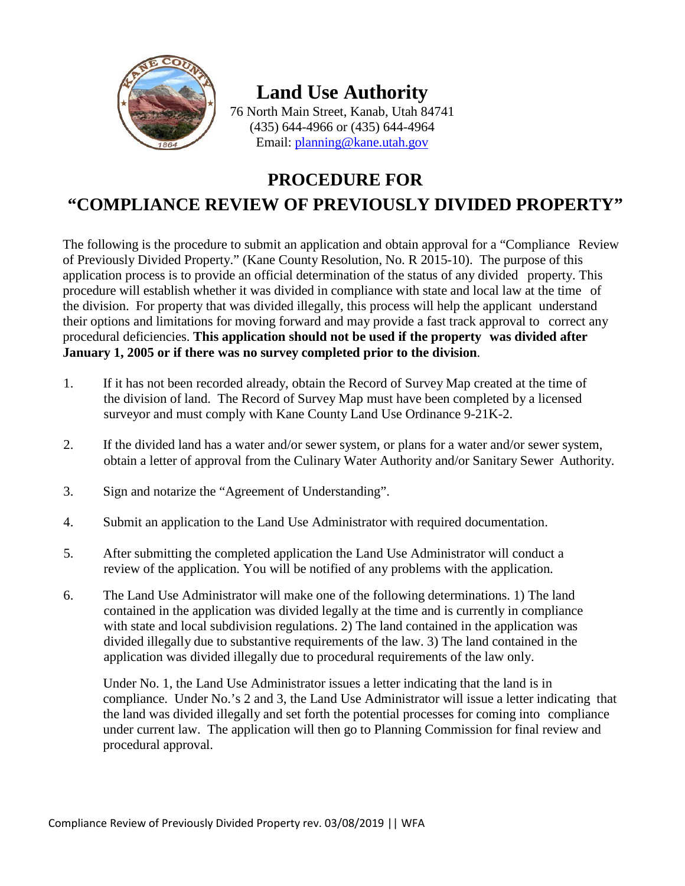

# **Land Use Authority**

76 North Main Street, Kanab, Utah 84741 (435) 644-4966 or (435) 644-4964 Email: [planning@kane.utah.gov](mailto:planning@kane.utah.gov)

# **PROCEDURE FOR "COMPLIANCE REVIEW OF PREVIOUSLY DIVIDED PROPERTY"**

The following is the procedure to submit an application and obtain approval for a "Compliance Review of Previously Divided Property." (Kane County Resolution, No. R 2015-10). The purpose of this application process is to provide an official determination of the status of any divided property. This procedure will establish whether it was divided in compliance with state and local law at the time of the division. For property that was divided illegally, this process will help the applicant understand their options and limitations for moving forward and may provide a fast track approval to correct any procedural deficiencies. **This application should not be used if the property was divided after January 1, 2005 or if there was no survey completed prior to the division**.

- 1. If it has not been recorded already, obtain the Record of Survey Map created at the time of the division of land. The Record of Survey Map must have been completed by a licensed surveyor and must comply with Kane County Land Use Ordinance 9-21K-2.
- 2. If the divided land has a water and/or sewer system, or plans for a water and/or sewer system, obtain a letter of approval from the Culinary Water Authority and/or Sanitary Sewer Authority.
- 3. Sign and notarize the "Agreement of Understanding".
- 4. Submit an application to the Land Use Administrator with required documentation.
- 5. After submitting the completed application the Land Use Administrator will conduct a review of the application. You will be notified of any problems with the application.
- 6. The Land Use Administrator will make one of the following determinations. 1) The land contained in the application was divided legally at the time and is currently in compliance with state and local subdivision regulations. 2) The land contained in the application was divided illegally due to substantive requirements of the law. 3) The land contained in the application was divided illegally due to procedural requirements of the law only.

Under No. 1, the Land Use Administrator issues a letter indicating that the land is in compliance. Under No.'s 2 and 3, the Land Use Administrator will issue a letter indicating that the land was divided illegally and set forth the potential processes for coming into compliance under current law. The application will then go to Planning Commission for final review and procedural approval.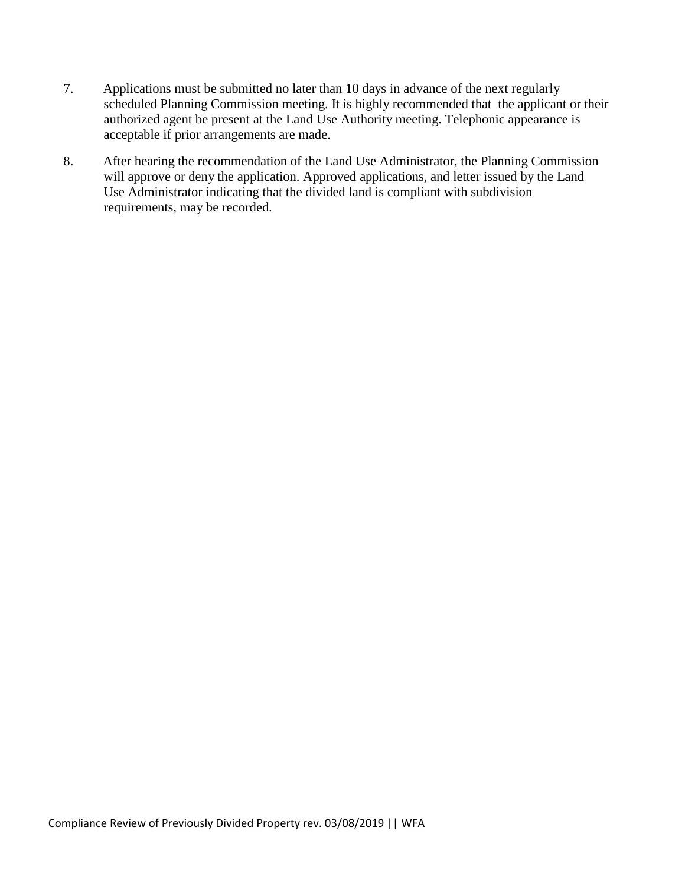- 7. Applications must be submitted no later than 10 days in advance of the next regularly scheduled Planning Commission meeting. It is highly recommended that the applicant or their authorized agent be present at the Land Use Authority meeting. Telephonic appearance is acceptable if prior arrangements are made.
- 8. After hearing the recommendation of the Land Use Administrator, the Planning Commission will approve or deny the application. Approved applications, and letter issued by the Land Use Administrator indicating that the divided land is compliant with subdivision requirements, may be recorded.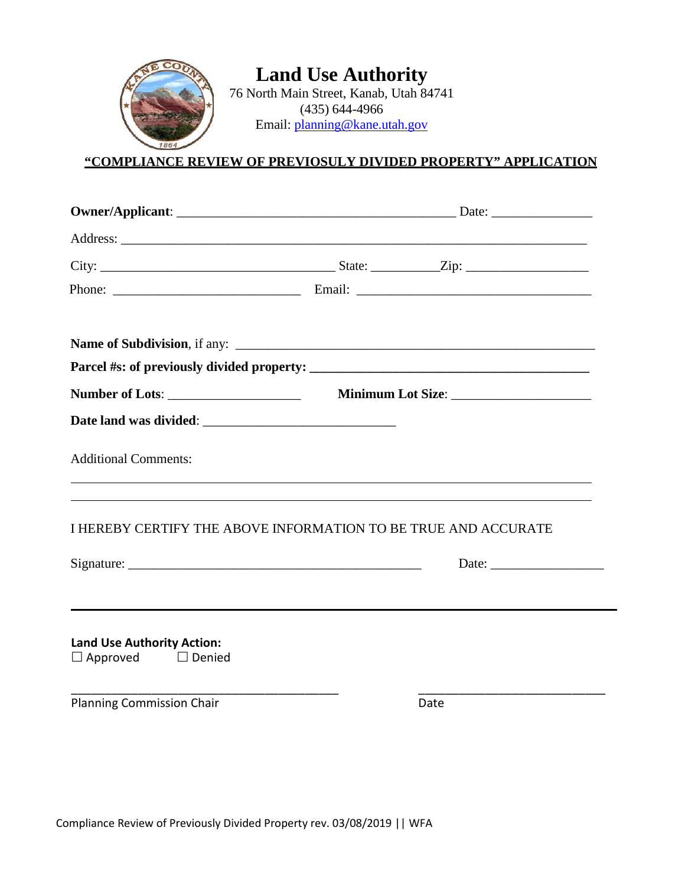

## **"COMPLIANCE REVIEW OF PREVIOSULY DIVIDED PROPERTY" APPLICATION**

| <b>Number of Lots:</b>            | Minimum Lot Size:                                              |  |  |
|-----------------------------------|----------------------------------------------------------------|--|--|
|                                   |                                                                |  |  |
| <b>Additional Comments:</b>       |                                                                |  |  |
|                                   | I HEREBY CERTIFY THE ABOVE INFORMATION TO BE TRUE AND ACCURATE |  |  |
| Signature: Signature:             | Date:                                                          |  |  |
|                                   |                                                                |  |  |
|                                   |                                                                |  |  |
| <b>Land Use Authority Action:</b> |                                                                |  |  |
| $\Box$ Approved $\Box$ Denied     |                                                                |  |  |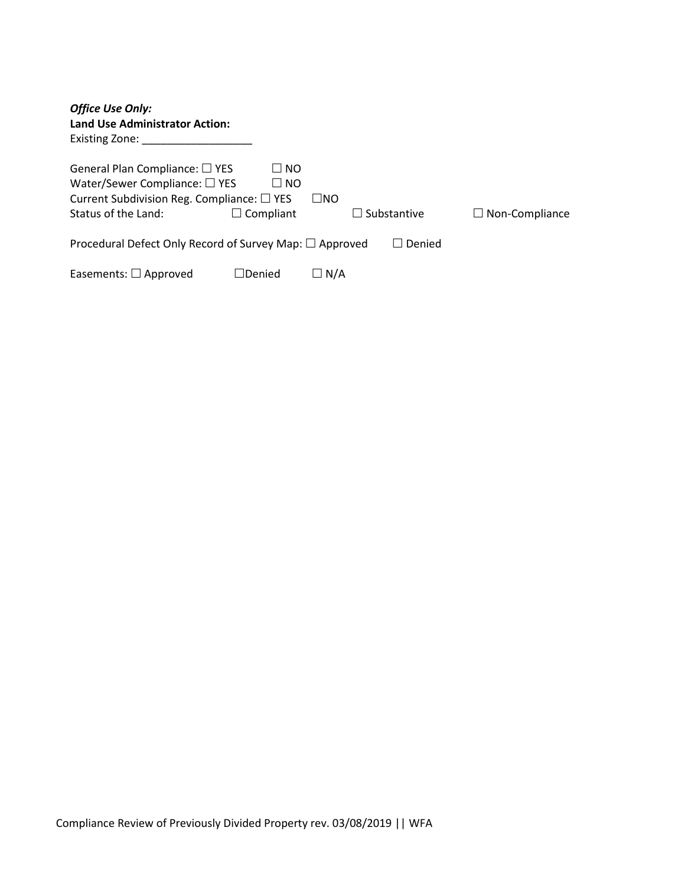| <b>Office Use Only:</b><br><b>Land Use Administrator Action:</b><br>Existing Zone:                                                                           |                                            |             |                    |                       |  |
|--------------------------------------------------------------------------------------------------------------------------------------------------------------|--------------------------------------------|-------------|--------------------|-----------------------|--|
| General Plan Compliance: $\square$ YES<br>Water/Sewer Compliance: $\square$ YES<br>Current Subdivision Reg. Compliance: $\square$ YES<br>Status of the Land: | $\Box$ NO<br>$\Box$ NO<br>$\Box$ Compliant | $\sqcup$ No | $\Box$ Substantive | $\Box$ Non-Compliance |  |
| Procedural Defect Only Record of Survey Map: $\square$ Approved<br>Denied                                                                                    |                                            |             |                    |                       |  |
| Easements: $\Box$ Approved                                                                                                                                   | $\sqcap$ Denied                            | ∐ N/A       |                    |                       |  |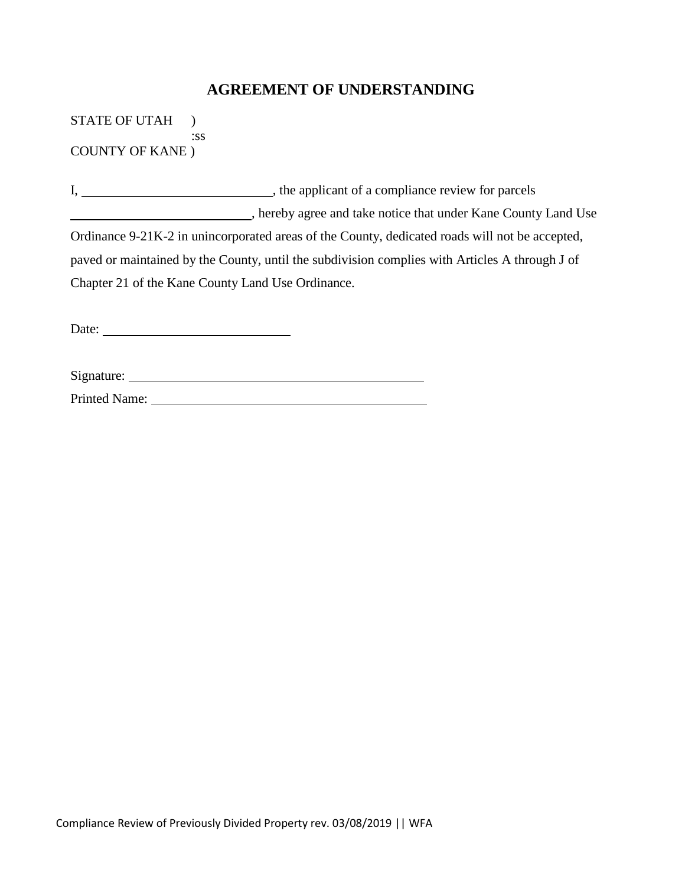### **AGREEMENT OF UNDERSTANDING**

STATE OF UTAH ) :ss COUNTY OF KANE )

I, , the applicant of a compliance review for parcels , hereby agree and take notice that under Kane County Land Use Ordinance 9-21K-2 in unincorporated areas of the County, dedicated roads will not be accepted, paved or maintained by the County, until the subdivision complies with Articles A through J of Chapter 21 of the Kane County Land Use Ordinance.

Date:

Printed Name: